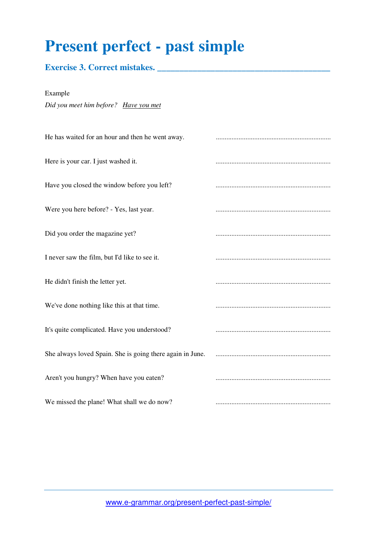## **Present perfect - past simple**

#### **Exercise 3. Correct mistakes. \_\_\_\_\_\_\_\_\_\_\_\_\_\_\_\_\_\_\_\_\_\_\_\_\_\_\_\_\_\_\_\_\_\_\_\_\_\_\_**

Example

# *Did you meet him before? Have you met* He has waited for an hour and then he went away. .................................................................. Here is your car. I just washed it. .................................................................. Have you closed the window before you left? .................................................................. Were you here before? - Yes, last year. Did you order the magazine yet? .................................................................. I never saw the film, but I'd like to see it. .................................................................. He didn't finish the letter yet. We've done nothing like this at that time. .................................................................. It's quite complicated. Have you understood? .................................................................. She always loved Spain. She is going there again in June. .................................................................. Aren't you hungry? When have you eaten? .................................................................. We missed the plane! What shall we do now? ..................................................................